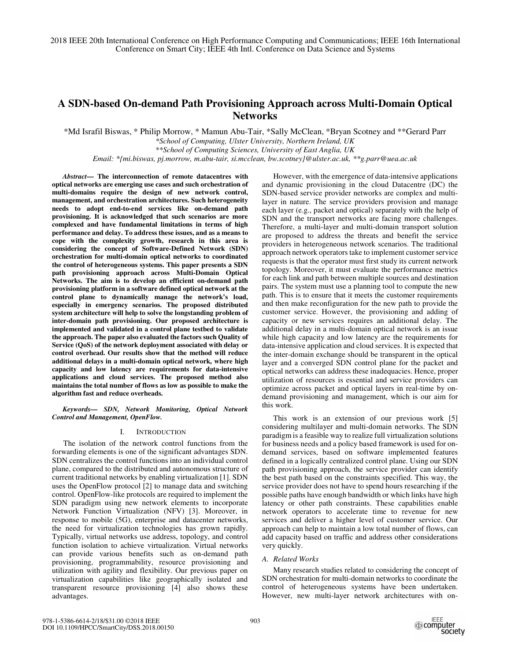# **A SDN-based On-demand Path Provisioning Approach across Multi-Domain Optical Networks**

\*Md Israfil Biswas, \* Philip Morrow, \* Mamun Abu-Tair, \*Sally McClean, \*Bryan Scotney and \*\*Gerard Parr *\*School of Computing, Ulster University, Northern Ireland, UK* 

*\*\*School of Computing Sciences, University of East Anglia, UK* 

*Email: \*{mi.biswas, pj.morrow, m.abu-tair, si.mcclean, bw.scotney}@ulster.ac.uk, \*\*g.parr@uea.ac.uk* 

*Abstract***— The interconnection of remote datacentres with optical networks are emerging use cases and such orchestration of multi-domains require the design of new network control, management, and orchestration architectures. Such heterogeneity needs to adopt end-to-end services like on-demand path provisioning. It is acknowledged that such scenarios are more complexed and have fundamental limitations in terms of high performance and delay. To address these issues, and as a means to cope with the complexity growth, research in this area is considering the concept of Software-Defined Network (SDN) orchestration for multi-domain optical networks to coordinated the control of heterogeneous systems. This paper presents a SDN path provisioning approach across Multi-Domain Optical Networks. The aim is to develop an efficient on-demand path provisioning platform in a software defined optical network at the control plane to dynamically manage the network's load, especially in emergency scenarios. The proposed distributed system architecture will help to solve the longstanding problem of inter-domain path provisioning. Our proposed architecture is implemented and validated in a control plane testbed to validate the approach. The paper also evaluated the factors such Quality of Service (QoS) of the network deployment associated with delay or control overhead. Our results show that the method will reduce additional delays in a multi-domain optical network, where high capacity and low latency are requirements for data-intensive applications and cloud services. The proposed method also maintains the total number of flows as low as possible to make the algorithm fast and reduce overheads.** 

*Keywords— SDN, Network Monitoring, Optical Network Control and Management, OpenFlow.* 

# I. INTRODUCTION

The isolation of the network control functions from the forwarding elements is one of the significant advantages SDN. SDN centralizes the control functions into an individual control plane, compared to the distributed and autonomous structure of current traditional networks by enabling virtualization [1]. SDN uses the OpenFlow protocol [2] to manage data and switching control. OpenFlow-like protocols are required to implement the SDN paradigm using new network elements to incorporate Network Function Virtualization (NFV) [3]. Moreover, in response to mobile (5G), enterprise and datacenter networks, the need for virtualization technologies has grown rapidly. Typically, virtual networks use address, topology, and control function isolation to achieve virtualization. Virtual networks can provide various benefits such as on-demand path provisioning, programmability, resource provisioning and utilization with agility and flexibility. Our previous paper on virtualization capabilities like geographically isolated and transparent resource provisioning [4] also shows these advantages.

However, with the emergence of data-intensive applications and dynamic provisioning in the cloud Datacentre (DC) the SDN-based service provider networks are complex and multilayer in nature. The service providers provision and manage each layer (e.g., packet and optical) separately with the help of SDN and the transport networks are facing more challenges. Therefore, a multi-layer and multi-domain transport solution are proposed to address the threats and benefit the service providers in heterogeneous network scenarios. The traditional approach network operators take to implement customer service requests is that the operator must first study its current network topology. Moreover, it must evaluate the performance metrics for each link and path between multiple sources and destination pairs. The system must use a planning tool to compute the new path. This is to ensure that it meets the customer requirements and then make reconfiguration for the new path to provide the customer service. However, the provisioning and adding of capacity or new services requires an additional delay. The additional delay in a multi-domain optical network is an issue while high capacity and low latency are the requirements for data-intensive application and cloud services. It is expected that the inter-domain exchange should be transparent in the optical layer and a converged SDN control plane for the packet and optical networks can address these inadequacies. Hence, proper utilization of resources is essential and service providers can optimize across packet and optical layers in real-time by ondemand provisioning and management, which is our aim for this work.

This work is an extension of our previous work [5] considering multilayer and multi-domain networks. The SDN paradigm is a feasible way to realize full virtualization solutions for business needs and a policy based framework is used for ondemand services, based on software implemented features defined in a logically centralized control plane. Using our SDN path provisioning approach, the service provider can identify the best path based on the constraints specified. This way, the service provider does not have to spend hours researching if the possible paths have enough bandwidth or which links have high latency or other path constraints. These capabilities enable network operators to accelerate time to revenue for new services and deliver a higher level of customer service. Our approach can help to maintain a low total number of flows, can add capacity based on traffic and address other considerations very quickly.

# *A. Related Works*

Many research studies related to considering the concept of SDN orchestration for multi-domain networks to coordinate the control of heterogeneous systems have been undertaken. However, new multi-layer network architectures with on-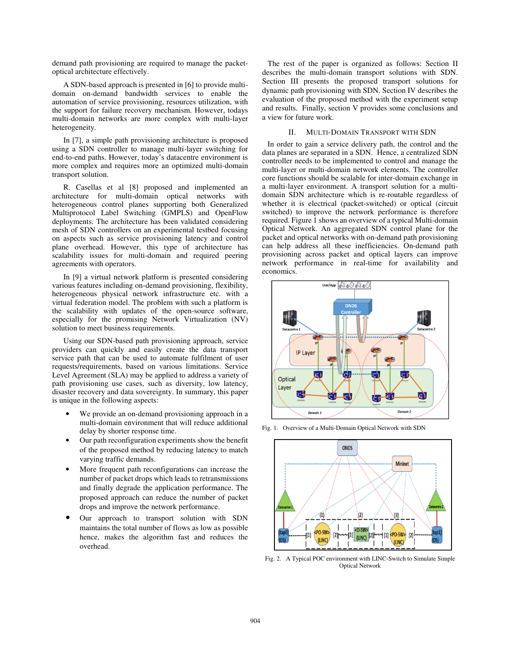demand path provisioning are required to manage the packetoptical architecture effectively.

A SDN-based approach is presented in [6] to provide multidomain on-demand bandwidth services to enable the automation of service provisioning, resources utilization, with the support for failure recovery mechanism. However, todays multi-domain networks are more complex with multi-layer heterogeneity.

In [7], a simple path provisioning architecture is proposed using a SDN controller to manage multi-layer switching for end-to-end paths. However, today's datacentre environment is more complex and requires more an optimized multi-domain transport solution.

R. Casellas et al [8] proposed and implemented an architecture for multi-domain optical networks with heterogeneous control planes supporting both Generalized Multiprotocol Label Switching (GMPLS) and OpenFlow deployments. The architecture has been validated considering mesh of SDN controllers on an experimental testbed focusing on aspects such as service provisioning latency and control plane overhead. However, this type of architecture has scalability issues for multi-domain and required peering agreements with operators.

In [9] a virtual network platform is presented considering various features including on-demand provisioning, flexibility, heterogeneous physical network infrastructure etc. with a virtual federation model. The problem with such a platform is the scalability with updates of the open-source software, especially for the promising Network Virtualization (NV) solution to meet business requirements.

Using our SDN-based path provisioning approach, service providers can quickly and easily create the data transport service path that can be used to automate fulfilment of user requests/requirements, based on various limitations. Service Level Agreement (SLA) may be applied to address a variety of path provisioning use cases, such as diversity, low latency, disaster recovery and data sovereignty. In summary, this paper is unique in the following aspects:

- We provide an on-demand provisioning approach in a multi-domain environment that will reduce additional delay by shorter response time.
- Our path reconfiguration experiments show the benefit of the proposed method by reducing latency to match varying traffic demands.
- More frequent path reconfigurations can increase the number of packet drops which leads to retransmissions and finally degrade the application performance. The proposed approach can reduce the number of packet drops and improve the network performance.
- Our approach to transport solution with SDN maintains the total number of flows as low as possible hence, makes the algorithm fast and reduces the overhead.

The rest of the paper is organized as follows: Section II describes the multi-domain transport solutions with SDN. Section III presents the proposed transport solutions for dynamic path provisioning with SDN. Section IV describes the evaluation of the proposed method with the experiment setup and results. Finally, section V provides some conclusions and a view for future work.

## II. MULTI-DOMAIN TRANSPORT WITH SDN

In order to gain a service delivery path, the control and the data planes are separated in a SDN. Hence, a centralized SDN controller needs to be implemented to control and manage the multi-layer or multi-domain network elements. The controller core functions should be scalable for inter-domain exchange in a multi-layer environment. A transport solution for a multidomain SDN architecture which is re-routable regardless of whether it is electrical (packet-switched) or optical (circuit switched) to improve the network performance is therefore required. Figure 1 shows an overview of a typical Multi-domain Optical Network. An aggregated SDN control plane for the packet and optical networks with on-demand path provisioning can help address all these inefficiencies. On-demand path provisioning across packet and optical layers can improve network performance in real-time for availability and economics.



Fig. 1. Overview of a Multi-Domain Optical Network with SDN



Fig. 2. A Typical POC environment with LINC-Switch to Simulate Simple Optical Network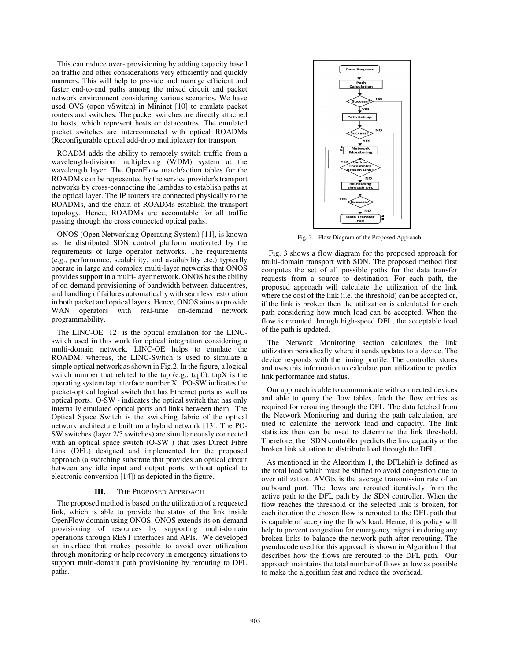This can reduce over- provisioning by adding capacity based on traffic and other considerations very efficiently and quickly manners. This will help to provide and manage efficient and faster end-to-end paths among the mixed circuit and packet network environment considering various scenarios. We have used OVS (open vSwitch) in Mininet [10] to emulate packet routers and switches. The packet switches are directly attached to hosts, which represent hosts or datacentres. The emulated packet switches are interconnected with optical ROADMs (Reconfigurable optical add-drop multiplexer) for transport.

ROADM adds the ability to remotely switch traffic from a wavelength-division multiplexing (WDM) system at the wavelength layer. The OpenFlow match/action tables for the ROADMs can be represented by the service provider's transport networks by cross-connecting the lambdas to establish paths at the optical layer. The IP routers are connected physically to the ROADMs, and the chain of ROADMs establish the transport topology. Hence, ROADMs are accountable for all traffic passing through the cross connected optical paths.

ONOS (Open Networking Operating System) [11], is known as the distributed SDN control platform motivated by the requirements of large operator networks. The requirements (e.g., performance, scalability, and availability etc.) typically operate in large and complex multi-layer networks that ONOS provides support in a multi-layer network. ONOS has the ability of on-demand provisioning of bandwidth between datacentres, and handling of failures automatically with seamless restoration in both packet and optical layers. Hence, ONOS aims to provide WAN operators with real-time on-demand network programmability.

The LINC-OE [12] is the optical emulation for the LINCswitch used in this work for optical integration considering a multi-domain network. LINC-OE helps to emulate the ROADM, whereas, the LINC-Switch is used to simulate a simple optical network as shown in Fig.2. In the figure, a logical switch number that related to the tap (e.g., tap0). tapX is the operating system tap interface number X. PO-SW indicates the packet-optical logical switch that has Ethernet ports as well as optical ports. O-SW - indicates the optical switch that has only internally emulated optical ports and links between them. The Optical Space Switch is the switching fabric of the optical network architecture built on a hybrid network [13]. The PO-SW switches (layer 2/3 switches) are simultaneously connected with an optical space switch (O-SW ) that uses Direct Fibre Link (DFL) designed and implemented for the proposed approach (a switching substrate that provides an optical circuit between any idle input and output ports, without optical to electronic conversion [14]) as depicted in the figure.

### **III.** THE PROPOSED APPROACH

The proposed method is based on the utilization of a requested link, which is able to provide the status of the link inside OpenFlow domain using ONOS. ONOS extends its on-demand provisioning of resources by supporting multi-domain operations through REST interfaces and APIs. We developed an interface that makes possible to avoid over utilization through monitoring or help recovery in emergency situations to support multi-domain path provisioning by rerouting to DFL paths.



Fig. 3. Flow Diagram of the Proposed Approach

 Fig. 3 shows a flow diagram for the proposed approach for multi-domain transport with SDN. The proposed method first computes the set of all possible paths for the data transfer requests from a source to destination. For each path, the proposed approach will calculate the utilization of the link where the cost of the link (i.e. the threshold) can be accepted or, if the link is broken then the utilization is calculated for each path considering how much load can be accepted. When the flow is rerouted through high-speed DFL, the acceptable load of the path is updated.

The Network Monitoring section calculates the link utilization periodically where it sends updates to a device. The device responds with the timing profile. The controller stores and uses this information to calculate port utilization to predict link performance and status.

Our approach is able to communicate with connected devices and able to query the flow tables, fetch the flow entries as required for rerouting through the DFL. The data fetched from the Network Monitoring and during the path calculation, are used to calculate the network load and capacity. The link statistics then can be used to determine the link threshold. Therefore, the SDN controller predicts the link capacity or the broken link situation to distribute load through the DFL.

As mentioned in the Algorithm 1, the DFLshift is defined as the total load which must be shifted to avoid congestion due to over utilization. AVGtx is the average transmission rate of an outbound port. The flows are rerouted iteratively from the active path to the DFL path by the SDN controller. When the flow reaches the threshold or the selected link is broken, for each iteration the chosen flow is rerouted to the DFL path that is capable of accepting the flow's load. Hence, this policy will help to prevent congestion for emergency migration during any broken links to balance the network path after rerouting. The pseudocode used for this approach is shown in Algorithm 1 that describes how the flows are rerouted to the DFL path. Our approach maintains the total number of flows as low as possible to make the algorithm fast and reduce the overhead.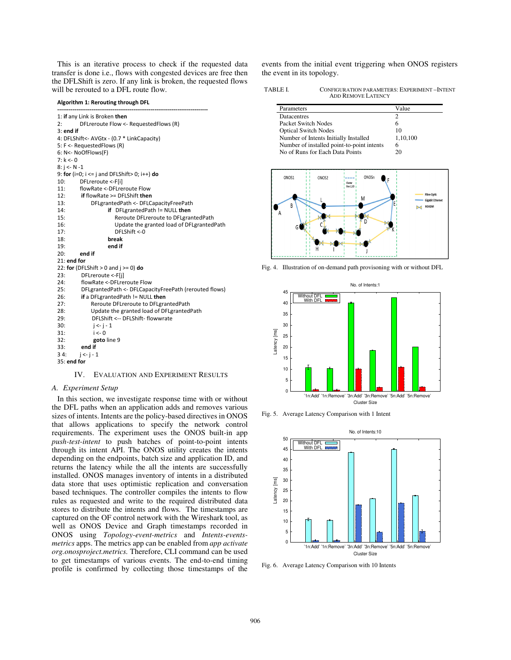This is an iterative process to check if the requested data transfer is done i.e., flows with congested devices are free then the DFLShift is zero. If any link is broken, the requested flows will be rerouted to a DFL route flow.

**Algorithm 1: Rerouting through DFL** 

| 1: if any Link is Broken then                                 |  |  |  |
|---------------------------------------------------------------|--|--|--|
| 2:<br>DFLreroute Flow <- RequestedFlows (R)                   |  |  |  |
| $3:$ end if                                                   |  |  |  |
| 4: DFLShift<- AVGtx - (0.7 * LinkCapacity)                    |  |  |  |
| 5: F <- RequestedFlows (R)                                    |  |  |  |
| 6: N<- NoOfFlows(F)                                           |  |  |  |
| 7: k < 0                                                      |  |  |  |
| $8: i < N - 1$                                                |  |  |  |
| 9: for (i=0; $i \leq j$ and DFLShift > 0; $i$ ++) do          |  |  |  |
| 10:<br>DFLreroute <- F[i]                                     |  |  |  |
| flowRate <- DFL reroute Flow<br>11:                           |  |  |  |
| if flowRate >= DFLShift then<br>12:                           |  |  |  |
| 13:<br>DFLgrantedPath <- DFLCapacityFreePath                  |  |  |  |
| 14:<br>if DFLgrantedPath != NULL then                         |  |  |  |
| 15:<br>Reroute DFLreroute to DFLgrantedPath                   |  |  |  |
| 16:<br>Update the granted load of DFLgrantedPath              |  |  |  |
| 17:<br>DFLShift <- 0                                          |  |  |  |
| 18:<br>break                                                  |  |  |  |
| end if<br>19:                                                 |  |  |  |
| 20:<br>end if                                                 |  |  |  |
| $21:$ end for                                                 |  |  |  |
| 22: for (DFLShift $> 0$ and $j \ge 0$ ) do                    |  |  |  |
| 23:<br>DFLreroute <-F[i]                                      |  |  |  |
| flowRate <- DFL reroute Flow<br>24:                           |  |  |  |
| DFLgrantedPath <- DFLCapacityFreePath (rerouted flows)<br>25: |  |  |  |
| if a DFLgrantedPath != NULL then<br>26:                       |  |  |  |
| 27:<br>Reroute DFLreroute to DFLgrantedPath                   |  |  |  |
| Update the granted load of DFLgrantedPath<br>28:              |  |  |  |
| DFLShift <-- DFLShift- flowwrate<br>29:                       |  |  |  |
| 30:<br>$i \leq -i-1$                                          |  |  |  |
| $i \leq 0$<br>31:                                             |  |  |  |
| 32:<br>goto line 9                                            |  |  |  |
| 33:<br>end if                                                 |  |  |  |
| 34:<br>$i \leq i - 1$                                         |  |  |  |
| 35: end for                                                   |  |  |  |

IV. EVALUATION AND EXPERIMENT RESULTS

#### *A. Experiment Setup*

In this section, we investigate response time with or without the DFL paths when an application adds and removes various sizes of intents. Intents are the policy-based directives in ONOS that allows applications to specify the network control requirements. The experiment uses the ONOS built-in app *push-test-intent* to push batches of point-to-point intents through its intent API. The ONOS utility creates the intents depending on the endpoints, batch size and application ID, and returns the latency while the all the intents are successfully installed. ONOS manages inventory of intents in a distributed data store that uses optimistic replication and conversation based techniques. The controller compiles the intents to flow rules as requested and write to the required distributed data stores to distribute the intents and flows. The timestamps are captured on the OF control network with the Wireshark tool, as well as ONOS Device and Graph timestamps recorded in ONOS using *Topology-event-metrics* and *Intents-eventsmetrics* apps. The metrics app can be enabled from *app activate org.onosproject.metrics.* Therefore, CLI command can be used to get timestamps of various events. The end-to-end timing profile is confirmed by collecting those timestamps of the events from the initial event triggering when ONOS registers the event in its topology.

| <b>TABLE L</b> | CONFIGURATION PARAMETERS: EXPERIMENT-INTENT |
|----------------|---------------------------------------------|
|                | <b>ADD REMOVE LATENCY</b>                   |

| Parameters                                 | Value    |
|--------------------------------------------|----------|
| <b>Datacentres</b>                         |          |
| <b>Packet Switch Nodes</b>                 | 6        |
| <b>Optical Switch Nodes</b>                | 10       |
| Number of Intents Initially Installed      | 1,10,100 |
| Number of installed point-to-point intents | 6        |
| No of Runs for Each Data Points            | 20       |



Fig. 4. Illustration of on-demand path provisoning with or without DFL



Fig. 5. Average Latency Comparison with 1 Intent



Fig. 6. Average Latency Comparison with 10 Intents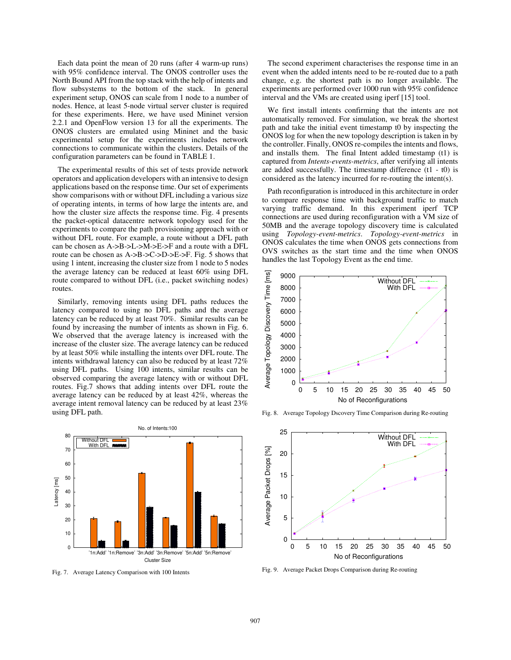Each data point the mean of 20 runs (after 4 warm-up runs) with 95% confidence interval. The ONOS controller uses the North Bound API from the top stack with the help of intents and flow subsystems to the bottom of the stack. In general experiment setup, ONOS can scale from 1 node to a number of nodes. Hence, at least 5-node virtual server cluster is required for these experiments. Here, we have used Mininet version 2.2.1 and OpenFlow version 13 for all the experiments. The ONOS clusters are emulated using Mininet and the basic experimental setup for the experiments includes network connections to communicate within the clusters. Details of the configuration parameters can be found in TABLE 1.

The experimental results of this set of tests provide network operators and application developers with an intensive to design applications based on the response time. Our set of experiments show comparisons with or without DFL including a various size of operating intents, in terms of how large the intents are, and how the cluster size affects the response time. Fig. 4 presents the packet-optical datacentre network topology used for the experiments to compare the path provisioning approach with or without DFL route. For example, a route without a DFL path can be chosen as A->B->L->M->E->F and a route with a DFL route can be chosen as A->B->C->D->E->F. Fig. 5 shows that using 1 intent, increasing the cluster size from 1 node to 5 nodes the average latency can be reduced at least 60% using DFL route compared to without DFL (i.e., packet switching nodes) routes.

Similarly, removing intents using DFL paths reduces the latency compared to using no DFL paths and the average latency can be reduced by at least 70%. Similar results can be found by increasing the number of intents as shown in Fig. 6. We observed that the average latency is increased with the increase of the cluster size. The average latency can be reduced by at least 50% while installing the intents over DFL route. The intents withdrawal latency can also be reduced by at least 72% using DFL paths. Using 100 intents, similar results can be observed comparing the average latency with or without DFL routes. Fig.7 shows that adding intents over DFL route the average latency can be reduced by at least 42%, whereas the average intent removal latency can be reduced by at least 23% using DFL path.



Fig. 7. Average Latency Comparison with 100 Intents

The second experiment characterises the response time in an event when the added intents need to be re-routed due to a path change, e.g. the shortest path is no longer available. The experiments are performed over 1000 run with 95% confidence interval and the VMs are created using iperf [15] tool.

We first install intents confirming that the intents are not automatically removed. For simulation, we break the shortest path and take the initial event timestamp t0 by inspecting the ONOS log for when the new topology description is taken in by the controller. Finally, ONOS re-compiles the intents and flows, and installs them. The final Intent added timestamp (t1) is captured from *Intents-events-metrics*, after verifying all intents are added successfully. The timestamp difference (t1 - t0) is considered as the latency incurred for re-routing the intent(s).

Path reconfiguration is introduced in this architecture in order to compare response time with background traffic to match varying traffic demand. In this experiment iperf TCP connections are used during reconfiguration with a VM size of 50MB and the average topology discovery time is calculated using *Topology-event-metrics*. *Topology-event-metrics* in ONOS calculates the time when ONOS gets connections from OVS switches as the start time and the time when ONOS handles the last Topology Event as the end time.



Fig. 8. Average Topology Dscovery Time Comparison during Re-routing



Fig. 9. Average Packet Drops Comparison during Re-routing